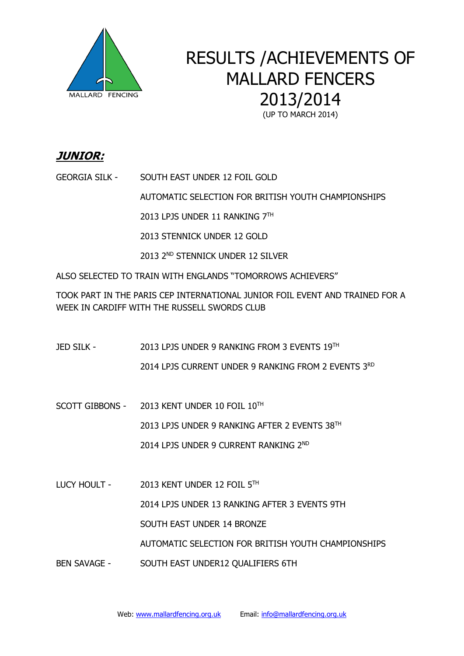

# RESULTS /ACHIEVEMENTS OF MALLARD FENCERS 2013/2014

(UP TO MARCH 2014)

### **JUNIOR:**

GEORGIA SILK - SOUTH EAST UNDER 12 FOIL GOLD

AUTOMATIC SELECTION FOR BRITISH YOUTH CHAMPIONSHIPS

 $2013$  LPJS UNDER 11 RANKING  $7^{\text{TH}}$ 

2013 STENNICK UNDER 12 GOLD

2013 2ND STENNICK UNDER 12 SILVER

ALSO SELECTED TO TRAIN WITH ENGLANDS "TOMORROWS ACHIEVERS"

TOOK PART IN THE PARIS CEP INTERNATIONAL JUNIOR FOIL EVENT AND TRAINED FOR A WEEK IN CARDIFF WITH THE RUSSELL SWORDS CLUB

- JED SILK 2013 LPJS UNDER 9 RANKING FROM 3 EVENTS 19TH 2014 LPJS CURRENT UNDER 9 RANKING FROM 2 EVENTS 3<sup>RD</sup>
- SCOTT GIBBONS  $2013$  KENT UNDER 10 FOIL  $10^{TH}$

2013 LPJS UNDER 9 RANKING AFTER 2 EVENTS 38TH

2014 LPJS UNDER 9 CURRENT RANKING 2<sup>ND</sup>

LUCY HOULT - 2013 KENT UNDER 12 FOIL 5TH

2014 LPJS UNDER 13 RANKING AFTER 3 EVENTS 9TH

SOUTH EAST UNDER 14 BRONZE

AUTOMATIC SELECTION FOR BRITISH YOUTH CHAMPIONSHIPS

BEN SAVAGE - SOUTH EAST UNDER12 QUALIFIERS 6TH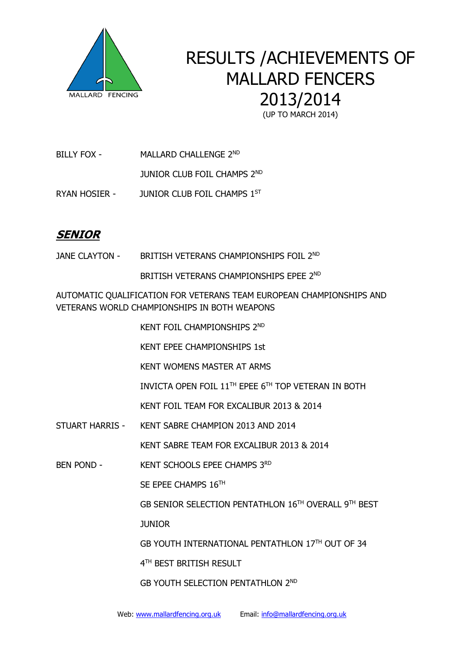

# RESULTS /ACHIEVEMENTS OF MALLARD FENCERS 2013/2014

(UP TO MARCH 2014)

BILLY FOX - MALLARD CHALLENGE 2ND

**JUNIOR CLUB FOIL CHAMPS 2ND** 

RYAN HOSIER - JUNIOR CLUB FOIL CHAMPS 1ST

## **SENIOR**

JANE CLAYTON - BRITISH VETERANS CHAMPIONSHIPS FOIL 2ND

BRITISH VETERANS CHAMPIONSHIPS EPEE 2<sup>ND</sup>

AUTOMATIC QUALIFICATION FOR VETERANS TEAM EUROPEAN CHAMPIONSHIPS AND VETERANS WORLD CHAMPIONSHIPS IN BOTH WEAPONS

**KENT FOIL CHAMPIONSHIPS 2ND** 

KENT EPEE CHAMPIONSHIPS 1st

KENT WOMENS MASTER AT ARMS

INVICTA OPEN FOIL 11<sup>TH</sup> EPEE 6<sup>TH</sup> TOP VETERAN IN BOTH

KENT FOIL TEAM FOR EXCALIBUR 2013 & 2014

STUART HARRIS - KENT SABRE CHAMPION 2013 AND 2014

KENT SABRE TEAM FOR EXCALIBUR 2013 & 2014

BEN POND - KENT SCHOOLS EPEE CHAMPS 3RD

SE EPEE CHAMPS 16TH

GB SENIOR SELECTION PENTATHLON 16TH OVERALL 9 TH BEST

JUNIOR

GB YOUTH INTERNATIONAL PENTATHLON 17TH OUT OF 34

 4 4<sup>TH</sup> BEST BRITISH RESULT

GB YOUTH SELECTION PENTATHLON 2ND